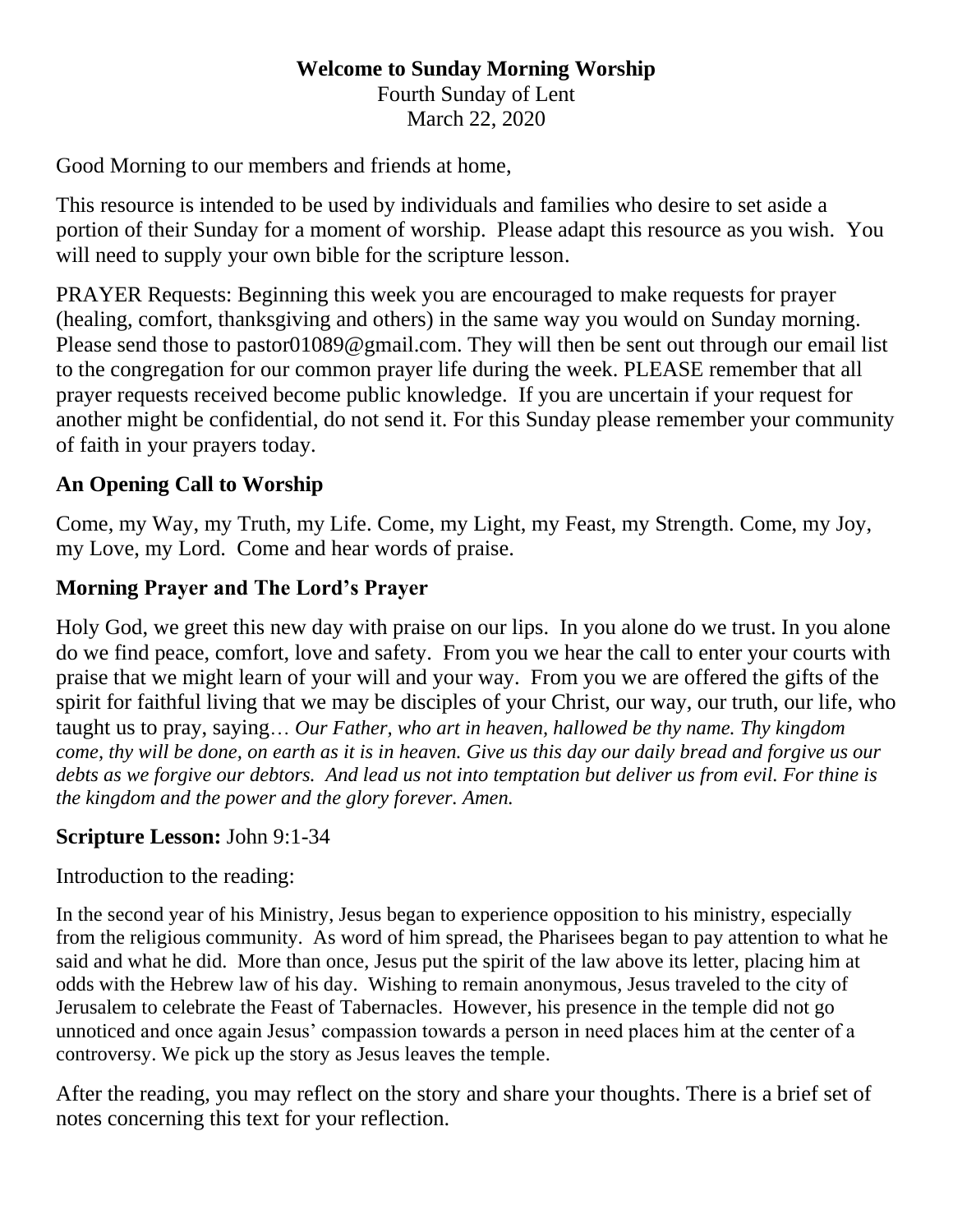#### **Welcome to Sunday Morning Worship** Fourth Sunday of Lent March 22, 2020

Good Morning to our members and friends at home,

This resource is intended to be used by individuals and families who desire to set aside a portion of their Sunday for a moment of worship. Please adapt this resource as you wish. You will need to supply your own bible for the scripture lesson.

PRAYER Requests: Beginning this week you are encouraged to make requests for prayer (healing, comfort, thanksgiving and others) in the same way you would on Sunday morning. Please send those to [pastor01089@gmail.com.](mailto:pastor01089@gmail.com) They will then be sent out through our email list to the congregation for our common prayer life during the week. PLEASE remember that all prayer requests received become public knowledge. If you are uncertain if your request for another might be confidential, do not send it. For this Sunday please remember your community of faith in your prayers today.

## **An Opening Call to Worship**

Come, my Way, my Truth, my Life. Come, my Light, my Feast, my Strength. Come, my Joy, my Love, my Lord. Come and hear words of praise.

# **Morning Prayer and The Lord's Prayer**

Holy God, we greet this new day with praise on our lips. In you alone do we trust. In you alone do we find peace, comfort, love and safety. From you we hear the call to enter your courts with praise that we might learn of your will and your way. From you we are offered the gifts of the spirit for faithful living that we may be disciples of your Christ, our way, our truth, our life, who taught us to pray, saying… *Our Father, who art in heaven, hallowed be thy name. Thy kingdom come, thy will be done, on earth as it is in heaven. Give us this day our daily bread and forgive us our debts as we forgive our debtors. And lead us not into temptation but deliver us from evil. For thine is the kingdom and the power and the glory forever. Amen.*

## **Scripture Lesson:** John 9:1-34

Introduction to the reading:

In the second year of his Ministry, Jesus began to experience opposition to his ministry, especially from the religious community. As word of him spread, the Pharisees began to pay attention to what he said and what he did. More than once, Jesus put the spirit of the law above its letter, placing him at odds with the Hebrew law of his day. Wishing to remain anonymous, Jesus traveled to the city of Jerusalem to celebrate the Feast of Tabernacles. However, his presence in the temple did not go unnoticed and once again Jesus' compassion towards a person in need places him at the center of a controversy. We pick up the story as Jesus leaves the temple.

After the reading, you may reflect on the story and share your thoughts. There is a brief set of notes concerning this text for your reflection.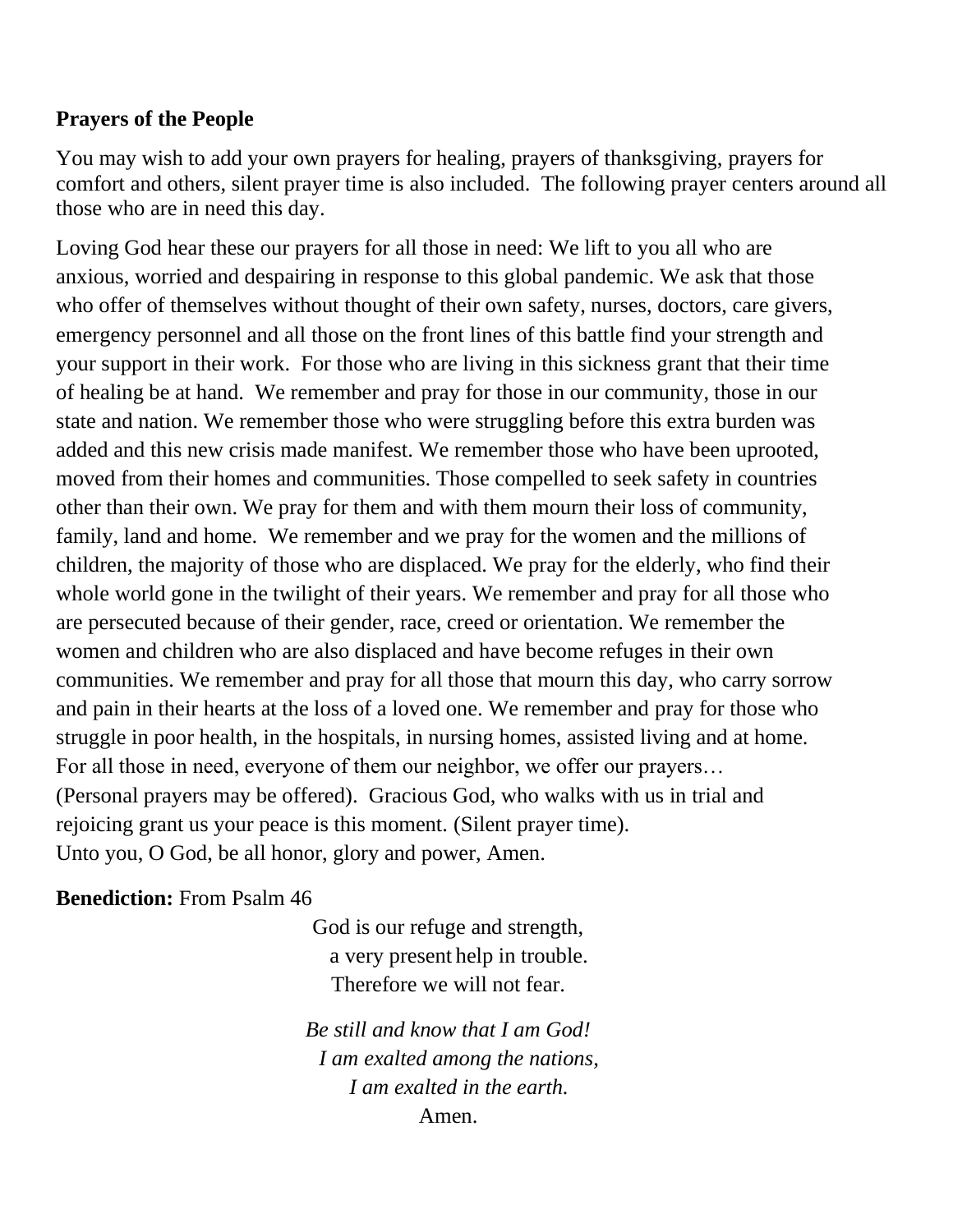## **Prayers of the People**

You may wish to add your own prayers for healing, prayers of thanksgiving, prayers for comfort and others, silent prayer time is also included. The following prayer centers around all those who are in need this day.

Loving God hear these our prayers for all those in need: We lift to you all who are anxious, worried and despairing in response to this global pandemic. We ask that those who offer of themselves without thought of their own safety, nurses, doctors, care givers, emergency personnel and all those on the front lines of this battle find your strength and your support in their work. For those who are living in this sickness grant that their time of healing be at hand. We remember and pray for those in our community, those in our state and nation. We remember those who were struggling before this extra burden was added and this new crisis made manifest. We remember those who have been uprooted, moved from their homes and communities. Those compelled to seek safety in countries other than their own. We pray for them and with them mourn their loss of community, family, land and home. We remember and we pray for the women and the millions of children, the majority of those who are displaced. We pray for the elderly, who find their whole world gone in the twilight of their years. We remember and pray for all those who are persecuted because of their gender, race, creed or orientation. We remember the women and children who are also displaced and have become refuges in their own communities. We remember and pray for all those that mourn this day, who carry sorrow and pain in their hearts at the loss of a loved one. We remember and pray for those who struggle in poor health, in the hospitals, in nursing homes, assisted living and at home. For all those in need, everyone of them our neighbor, we offer our prayers… (Personal prayers may be offered). Gracious God, who walks with us in trial and rejoicing grant us your peace is this moment. (Silent prayer time). Unto you, O God, be all honor, glory and power, Amen.

#### **Benediction:** From Psalm 46

God is our refuge and strength, a very present help in trouble. Therefore we will not fear.

*Be still and know that I am God! I am exalted among the nations, I am exalted in the earth.* Amen.